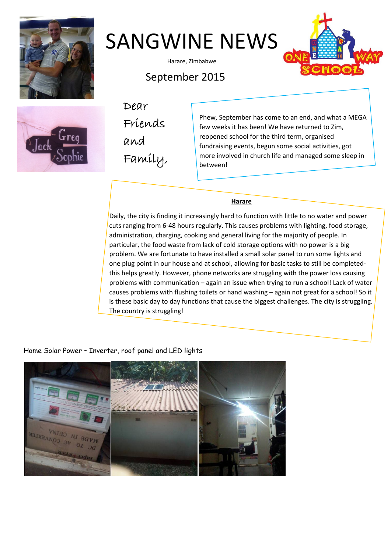



Harare, Zimbabwe





September 2015

Dear Friends and Family,

Phew, September has come to an end, and what a MEGA few weeks it has been! We have returned to Zim, reopened school for the third term, organised fundraising events, begun some social activities, got more involved in church life and managed some sleep in between!

## **Harare**

Daily, the city is finding it increasingly hard to function with little to no water and power cuts ranging from 6‐48 hours regularly. This causes problems with lighting, food storage, administration, charging, cooking and general living for the majority of people. In particular, the food waste from lack of cold storage options with no power is a big problem. We are fortunate to have installed a small solar panel to run some lights and one plug point in our house and at school, allowing for basic tasks to still be completed‐ this helps greatly. However, phone networks are struggling with the power loss causing problems with communication – again an issue when trying to run a school! Lack of water causes problems with flushing toilets or hand washing – again not great for a school! So it is these basic day to day functions that cause the biggest challenges. The city is struggling. The country is struggling!

# Home Solar Power – Inverter, roof panel and LED lights

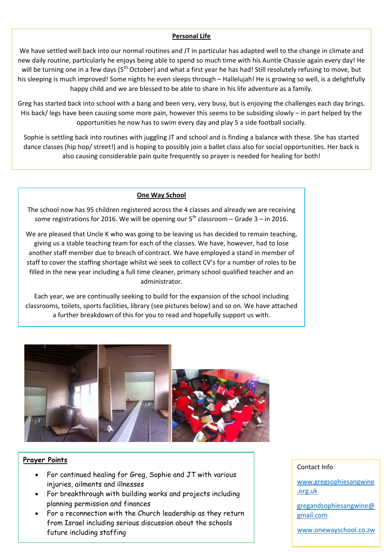#### **Personal Life**

We have settled well back into our normal routines and JT in particular has adapted well to the change in climate and new daily routine, particularly he enjoys being able to spend so much time with his Auntie Chassie again every day! He will be turning one in a few days (5<sup>th</sup> October) and what a first year he has had! Still resolutely refusing to move, but his sleeping is much improved! Some nights he even sleeps through – Hallelujah! He is growing so well, is a delightfully happy child and we are blessed to be able to share in his life adventure as a family.

Greg has started back into school with a bang and been very, very busy, but is enjoying the challenges each day brings. His back/ legs have been causing some more pain, however this seems to be subsiding slowly – in part helped by the opportunities he now has to swim every day and play 5 a side football socially.

Sophie is settling back into routines with juggling JT and school and is finding a balance with these. She has started dance classes (hip hop/ street!) and is hoping to possibly join a ballet class also for social opportunities. Her back is also causing considerable pain quite frequently so prayer is needed for healing for both!

#### **One Way School**

The school now has 95 children registered across the 4 classes and already we are receiving some registrations for 2016. We will be opening our  $5<sup>th</sup>$  classroom – Grade 3 – in 2016.

We are pleased that Uncle K who was going to be leaving us has decided to remain teaching, giving us a stable teaching team for each of the classes. We have, however, had to lose another staff member due to breach of contract. We have employed a stand in member of staff to cover the staffing shortage whilst we seek to collect CV's for a number of roles to be filled in the new year including a full time cleaner, primary school qualified teacher and an administrator.

Each year, we are continually seeking to build for the expansion of the school including classrooms, toilets, sports facilities, library (see pictures below) and so on. We have attached a further breakdown of this for you to read and hopefully support us with.



### **Prayer Points**

- For continued healing for Greg, Sophie and JT with various injuries, ailments and illnesses
- For breakthrough with building works and projects including planning permission and finances
- For a reconnection with the Church leadership as they return from Israel including serious discussion about the schools future including staffing

#### Contact Info

www.gregsophiesangwine .org.uk

gregandsophiesangwine@ gmail.com

www.onewayschool.co.zw